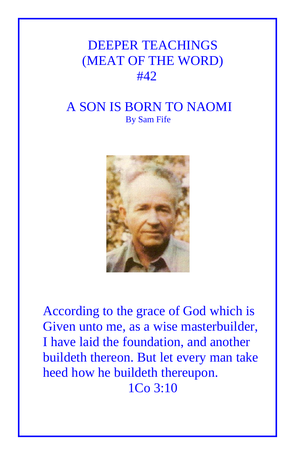## DEEPER TEACHINGS (MEAT OF THE WORD) #42

## A SON IS BORN TO NAOMI By Sam Fife



According to the grace of God which is Given unto me, as a wise masterbuilder, I have laid the foundation, and another buildeth thereon. But let every man take heed how he buildeth thereupon. 1Co 3:10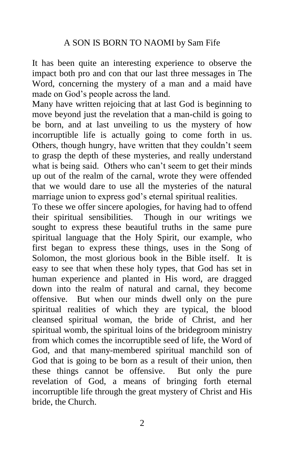It has been quite an interesting experience to observe the impact both pro and con that our last three messages in The Word, concerning the mystery of a man and a maid have made on God's people across the land.

Many have written rejoicing that at last God is beginning to move beyond just the revelation that a man-child is going to be born, and at last unveiling to us the mystery of how incorruptible life is actually going to come forth in us. Others, though hungry, have written that they couldn't seem to grasp the depth of these mysteries, and really understand what is being said. Others who can't seem to get their minds up out of the realm of the carnal, wrote they were offended that we would dare to use all the mysteries of the natural marriage union to express god's eternal spiritual realities.

To these we offer sincere apologies, for having had to offend their spiritual sensibilities. Though in our writings we sought to express these beautiful truths in the same pure spiritual language that the Holy Spirit, our example, who first began to express these things, uses in the Song of Solomon, the most glorious book in the Bible itself. It is easy to see that when these holy types, that God has set in human experience and planted in His word, are dragged down into the realm of natural and carnal, they become offensive. But when our minds dwell only on the pure spiritual realities of which they are typical, the blood cleansed spiritual woman, the bride of Christ, and her spiritual womb, the spiritual loins of the bridegroom ministry from which comes the incorruptible seed of life, the Word of God, and that many-membered spiritual manchild son of God that is going to be born as a result of their union, then these things cannot be offensive. But only the pure revelation of God, a means of bringing forth eternal incorruptible life through the great mystery of Christ and His bride, the Church.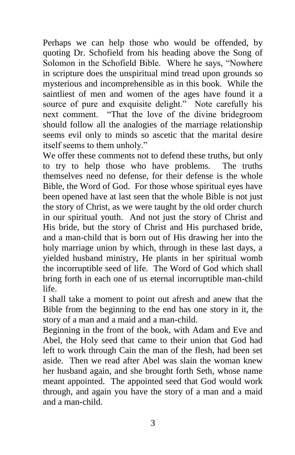Perhaps we can help those who would be offended, by quoting Dr. Schofield from his heading above the Song of Solomon in the Schofield Bible. Where he says, "Nowhere in scripture does the unspiritual mind tread upon grounds so mysterious and incomprehensible as in this book. While the saintliest of men and women of the ages have found it a source of pure and exquisite delight." Note carefully his next comment. "That the love of the divine bridegroom should follow all the analogies of the marriage relationship seems evil only to minds so ascetic that the marital desire itself seems to them unholy."

We offer these comments not to defend these truths, but only to try to help those who have problems. The truths themselves need no defense, for their defense is the whole Bible, the Word of God. For those whose spiritual eyes have been opened have at last seen that the whole Bible is not just the story of Christ, as we were taught by the old order church in our spiritual youth. And not just the story of Christ and His bride, but the story of Christ and His purchased bride, and a man-child that is born out of His drawing her into the holy marriage union by which, through in these last days, a yielded husband ministry, He plants in her spiritual womb the incorruptible seed of life. The Word of God which shall bring forth in each one of us eternal incorruptible man-child life.

I shall take a moment to point out afresh and anew that the Bible from the beginning to the end has one story in it, the story of a man and a maid and a man-child.

Beginning in the front of the book, with Adam and Eve and Abel, the Holy seed that came to their union that God had left to work through Cain the man of the flesh, had been set aside. Then we read after Abel was slain the woman knew her husband again, and she brought forth Seth, whose name meant appointed. The appointed seed that God would work through, and again you have the story of a man and a maid and a man-child.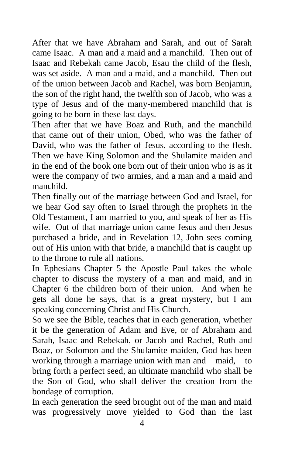After that we have Abraham and Sarah, and out of Sarah came Isaac. A man and a maid and a manchild. Then out of Isaac and Rebekah came Jacob, Esau the child of the flesh, was set aside. A man and a maid, and a manchild. Then out of the union between Jacob and Rachel, was born Benjamin, the son of the right hand, the twelfth son of Jacob, who was a type of Jesus and of the many-membered manchild that is going to be born in these last days.

Then after that we have Boaz and Ruth, and the manchild that came out of their union, Obed, who was the father of David, who was the father of Jesus, according to the flesh. Then we have King Solomon and the Shulamite maiden and in the end of the book one born out of their union who is as it were the company of two armies, and a man and a maid and manchild.

Then finally out of the marriage between God and Israel, for we hear God say often to Israel through the prophets in the Old Testament, I am married to you, and speak of her as His wife. Out of that marriage union came Jesus and then Jesus purchased a bride, and in Revelation 12, John sees coming out of His union with that bride, a manchild that is caught up to the throne to rule all nations.

In Ephesians Chapter 5 the Apostle Paul takes the whole chapter to discuss the mystery of a man and maid, and in Chapter 6 the children born of their union. And when he gets all done he says, that is a great mystery, but I am speaking concerning Christ and His Church.

So we see the Bible, teaches that in each generation, whether it be the generation of Adam and Eve, or of Abraham and Sarah, Isaac and Rebekah, or Jacob and Rachel, Ruth and Boaz, or Solomon and the Shulamite maiden, God has been working through a marriage union with man and maid, to bring forth a perfect seed, an ultimate manchild who shall be the Son of God, who shall deliver the creation from the bondage of corruption.

In each generation the seed brought out of the man and maid was progressively move yielded to God than the last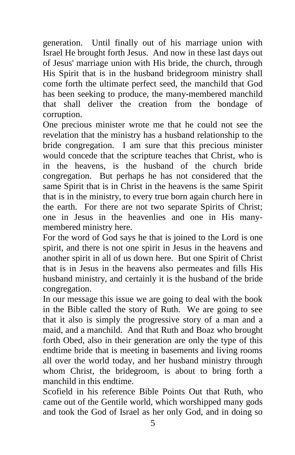generation. Until finally out of his marriage union with Israel He brought forth Jesus. And now in these last days out of Jesus' marriage union with His bride, the church, through His Spirit that is in the husband bridegroom ministry shall come forth the ultimate perfect seed, the manchild that God has been seeking to produce, the many-membered manchild that shall deliver the creation from the bondage of corruption.

One precious minister wrote me that he could not see the revelation that the ministry has a husband relationship to the bride congregation. I am sure that this precious minister would concede that the scripture teaches that Christ, who is in the heavens, is the husband of the church bride congregation. But perhaps he has not considered that the same Spirit that is in Christ in the heavens is the same Spirit that is in the ministry, to every true born again church here in the earth. For there are not two separate Spirits of Christ; one in Jesus in the heavenlies and one in His manymembered ministry here.

For the word of God says he that is joined to the Lord is one spirit, and there is not one spirit in Jesus in the heavens and another spirit in all of us down here. But one Spirit of Christ that is in Jesus in the heavens also permeates and fills His husband ministry, and certainly it is the husband of the bride congregation.

In our message this issue we are going to deal with the book in the Bible called the story of Ruth. We are going to see that it also is simply the progressive story of a man and a maid, and a manchild. And that Ruth and Boaz who brought forth Obed, also in their generation are only the type of this endtime bride that is meeting in basements and living rooms all over the world today, and her husband ministry through whom Christ, the bridegroom, is about to bring forth a manchild in this endtime.

Scofield in his reference Bible Points Out that Ruth, who came out of the Gentile world, which worshipped many gods and took the God of Israel as her only God, and in doing so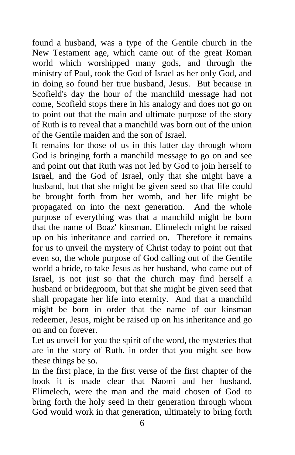found a husband, was a type of the Gentile church in the New Testament age, which came out of the great Roman world which worshipped many gods, and through the ministry of Paul, took the God of Israel as her only God, and in doing so found her true husband, Jesus. But because in Scofield's day the hour of the manchild message had not come, Scofield stops there in his analogy and does not go on to point out that the main and ultimate purpose of the story of Ruth is to reveal that a manchild was born out of the union of the Gentile maiden and the son of Israel.

It remains for those of us in this latter day through whom God is bringing forth a manchild message to go on and see and point out that Ruth was not led by God to join herself to Israel, and the God of Israel, only that she might have a husband, but that she might be given seed so that life could be brought forth from her womb, and her life might be propagated on into the next generation. And the whole purpose of everything was that a manchild might be born that the name of Boaz' kinsman, Elimelech might be raised up on his inheritance and carried on. Therefore it remains for us to unveil the mystery of Christ today to point out that even so, the whole purpose of God calling out of the Gentile world a bride, to take Jesus as her husband, who came out of Israel, is not just so that the church may find herself a husband or bridegroom, but that she might be given seed that shall propagate her life into eternity. And that a manchild might be born in order that the name of our kinsman redeemer, Jesus, might be raised up on his inheritance and go on and on forever.

Let us unveil for you the spirit of the word, the mysteries that are in the story of Ruth, in order that you might see how these things be so.

In the first place, in the first verse of the first chapter of the book it is made clear that Naomi and her husband, Elimelech, were the man and the maid chosen of God to bring forth the holy seed in their generation through whom God would work in that generation, ultimately to bring forth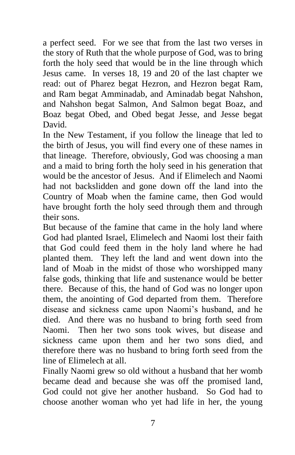a perfect seed. For we see that from the last two verses in the story of Ruth that the whole purpose of God, was to bring forth the holy seed that would be in the line through which Jesus came. In verses 18, 19 and 20 of the last chapter we read: out of Pharez begat Hezron, and Hezron begat Ram, and Ram begat Amminadab, and Aminadab begat Nahshon, and Nahshon begat Salmon, And Salmon begat Boaz, and Boaz begat Obed, and Obed begat Jesse, and Jesse begat David.

In the New Testament, if you follow the lineage that led to the birth of Jesus, you will find every one of these names in that lineage. Therefore, obviously, God was choosing a man and a maid to bring forth the holy seed in his generation that would be the ancestor of Jesus. And if Elimelech and Naomi had not backslidden and gone down off the land into the Country of Moab when the famine came, then God would have brought forth the holy seed through them and through their sons.

But because of the famine that came in the holy land where God had planted Israel, Elimelech and Naomi lost their faith that God could feed them in the holy land where he had planted them. They left the land and went down into the land of Moab in the midst of those who worshipped many false gods, thinking that life and sustenance would be better there. Because of this, the hand of God was no longer upon them, the anointing of God departed from them. Therefore disease and sickness came upon Naomi's husband, and he died. And there was no husband to bring forth seed from Naomi. Then her two sons took wives, but disease and sickness came upon them and her two sons died, and therefore there was no husband to bring forth seed from the line of Elimelech at all.

Finally Naomi grew so old without a husband that her womb became dead and because she was off the promised land, God could not give her another husband. So God had to choose another woman who yet had life in her, the young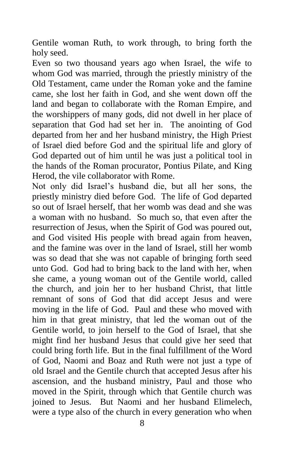Gentile woman Ruth, to work through, to bring forth the holy seed.

Even so two thousand years ago when Israel, the wife to whom God was married, through the priestly ministry of the Old Testament, came under the Roman yoke and the famine came, she lost her faith in God, and she went down off the land and began to collaborate with the Roman Empire, and the worshippers of many gods, did not dwell in her place of separation that God had set her in. The anointing of God departed from her and her husband ministry, the High Priest of Israel died before God and the spiritual life and glory of God departed out of him until he was just a political tool in the hands of the Roman procurator, Pontius Pilate, and King Herod, the vile collaborator with Rome.

Not only did Israel's husband die, but all her sons, the priestly ministry died before God. The life of God departed so out of Israel herself, that her womb was dead and she was a woman with no husband. So much so, that even after the resurrection of Jesus, when the Spirit of God was poured out, and God visited His people with bread again from heaven, and the famine was over in the land of Israel, still her womb was so dead that she was not capable of bringing forth seed unto God. God had to bring back to the land with her, when she came, a young woman out of the Gentile world, called the church, and join her to her husband Christ, that little remnant of sons of God that did accept Jesus and were moving in the life of God. Paul and these who moved with him in that great ministry, that led the woman out of the Gentile world, to join herself to the God of Israel, that she might find her husband Jesus that could give her seed that could bring forth life. But in the final fulfillment of the Word of God, Naomi and Boaz and Ruth were not just a type of old Israel and the Gentile church that accepted Jesus after his ascension, and the husband ministry, Paul and those who moved in the Spirit, through which that Gentile church was joined to Jesus. But Naomi and her husband Elimelech, were a type also of the church in every generation who when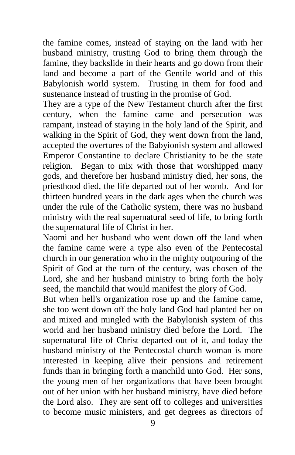the famine comes, instead of staying on the land with her husband ministry, trusting God to bring them through the famine, they backslide in their hearts and go down from their land and become a part of the Gentile world and of this Babylonish world system. Trusting in them for food and sustenance instead of trusting in the promise of God.

They are a type of the New Testament church after the first century, when the famine came and persecution was rampant, instead of staying in the holy land of the Spirit, and walking in the Spirit of God, they went down from the land, accepted the overtures of the Babyionish system and allowed Emperor Constantine to declare Christianity to be the state religion. Began to mix with those that worshipped many gods, and therefore her husband ministry died, her sons, the priesthood died, the life departed out of her womb. And for thirteen hundred years in the dark ages when the church was under the rule of the Catholic system, there was no husband ministry with the real supernatural seed of life, to bring forth the supernatural life of Christ in her.

Naomi and her husband who went down off the land when the famine came were a type also even of the Pentecostal church in our generation who in the mighty outpouring of the Spirit of God at the turn of the century, was chosen of the Lord, she and her husband ministry to bring forth the holy seed, the manchild that would manifest the glory of God.

But when hell's organization rose up and the famine came, she too went down off the holy land God had planted her on and mixed and mingled with the Babylonish system of this world and her husband ministry died before the Lord. The supernatural life of Christ departed out of it, and today the husband ministry of the Pentecostal church woman is more interested in keeping alive their pensions and retirement funds than in bringing forth a manchild unto God. Her sons, the young men of her organizations that have been brought out of her union with her husband ministry, have died before the Lord also. They are sent off to colleges and universities to become music ministers, and get degrees as directors of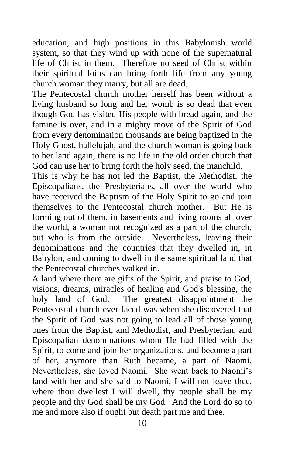education, and high positions in this Babylonish world system, so that they wind up with none of the supernatural life of Christ in them. Therefore no seed of Christ within their spiritual loins can bring forth life from any young church woman they marry, but all are dead.

The Pentecostal church mother herself has been without a living husband so long and her womb is so dead that even though God has visited His people with bread again, and the famine is over, and in a mighty move of the Spirit of God from every denomination thousands are being baptized in the Holy Ghost, hallelujah, and the church woman is going back to her land again, there is no life in the old order church that God can use her to bring forth the holy seed, the manchild.

This is why he has not led the Baptist, the Methodist, the Episcopalians, the Presbyterians, all over the world who have received the Baptism of the Holy Spirit to go and join themselves to the Pentecostal church mother. But He is forming out of them, in basements and living rooms all over the world, a woman not recognized as a part of the church, but who is from the outside. Nevertheless, leaving their denominations and the countries that they dwelled in, in Babylon, and coming to dwell in the same spiritual land that the Pentecostal churches walked in.

A land where there are gifts of the Spirit, and praise to God, visions, dreams, miracles of healing and God's blessing, the holy land of God. The greatest disappointment the Pentecostal church ever faced was when she discovered that the Spirit of God was not going to lead all of those young ones from the Baptist, and Methodist, and Presbyterian, and Episcopalian denominations whom He had filled with the Spirit, to come and join her organizations, and become a part of her, anymore than Ruth became, a part of Naomi. Nevertheless, she loved Naomi. She went back to Naomi's land with her and she said to Naomi, I will not leave thee, where thou dwellest I will dwell, thy people shall be my people and thy God shall be my God. And the Lord do so to me and more also if ought but death part me and thee.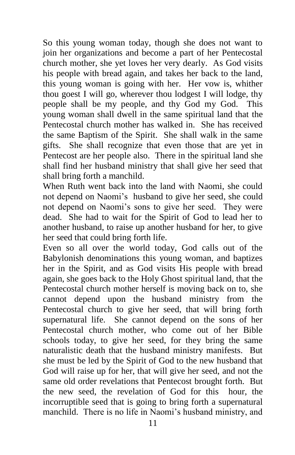So this young woman today, though she does not want to join her organizations and become a part of her Pentecostal church mother, she yet loves her very dearly. As God visits his people with bread again, and takes her back to the land, this young woman is going with her. Her vow is, whither thou goest I will go, wherever thou lodgest I will lodge, thy people shall be my people, and thy God my God. This young woman shall dwell in the same spiritual land that the Pentecostal church mother has walked in. She has received the same Baptism of the Spirit. She shall walk in the same gifts. She shall recognize that even those that are yet in Pentecost are her people also. There in the spiritual land she shall find her husband ministry that shall give her seed that shall bring forth a manchild.

When Ruth went back into the land with Naomi, she could not depend on Naomi's husband to give her seed, she could not depend on Naomi's sons to give her seed. They were dead. She had to wait for the Spirit of God to lead her to another husband, to raise up another husband for her, to give her seed that could bring forth life.

Even so all over the world today, God calls out of the Babylonish denominations this young woman, and baptizes her in the Spirit, and as God visits His people with bread again, she goes back to the Holy Ghost spiritual land, that the Pentecostal church mother herself is moving back on to, she cannot depend upon the husband ministry from the Pentecostal church to give her seed, that will bring forth supernatural life. She cannot depend on the sons of her Pentecostal church mother, who come out of her Bible schools today, to give her seed, for they bring the same naturalistic death that the husband ministry manifests. But she must be led by the Spirit of God to the new husband that God will raise up for her, that will give her seed, and not the same old order revelations that Pentecost brought forth. But the new seed, the revelation of God for this hour, the incorruptible seed that is going to bring forth a supernatural manchild. There is no life in Naomi's husband ministry, and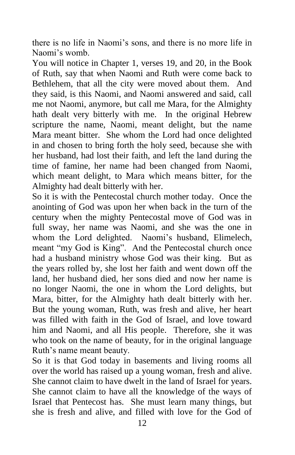there is no life in Naomi's sons, and there is no more life in Naomi's womb.

You will notice in Chapter 1, verses 19, and 20, in the Book of Ruth, say that when Naomi and Ruth were come back to Bethlehem, that all the city were moved about them. And they said, is this Naomi, and Naomi answered and said, call me not Naomi, anymore, but call me Mara, for the Almighty hath dealt very bitterly with me. In the original Hebrew scripture the name, Naomi, meant delight, but the name Mara meant bitter. She whom the Lord had once delighted in and chosen to bring forth the holy seed, because she with her husband, had lost their faith, and left the land during the time of famine, her name had been changed from Naomi, which meant delight, to Mara which means bitter, for the Almighty had dealt bitterly with her.

So it is with the Pentecostal church mother today. Once the anointing of God was upon her when back in the turn of the century when the mighty Pentecostal move of God was in full sway, her name was Naomi, and she was the one in whom the Lord delighted. Naomi's husband, Elimelech, meant "my God is King". And the Pentecostal church once had a husband ministry whose God was their king. But as the years rolled by, she lost her faith and went down off the land, her husband died, her sons died and now her name is no longer Naomi, the one in whom the Lord delights, but Mara, bitter, for the Almighty hath dealt bitterly with her. But the young woman, Ruth, was fresh and alive, her heart was filled with faith in the God of Israel, and love toward him and Naomi, and all His people. Therefore, she it was who took on the name of beauty, for in the original language Ruth's name meant beauty.

So it is that God today in basements and living rooms all over the world has raised up a young woman, fresh and alive. She cannot claim to have dwelt in the land of Israel for years. She cannot claim to have all the knowledge of the ways of Israel that Pentecost has. She must learn many things, but she is fresh and alive, and filled with love for the God of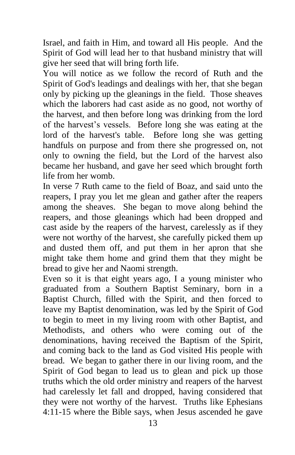Israel, and faith in Him, and toward all His people. And the Spirit of God will lead her to that husband ministry that will give her seed that will bring forth life.

You will notice as we follow the record of Ruth and the Spirit of God's leadings and dealings with her, that she began only by picking up the gleanings in the field. Those sheaves which the laborers had cast aside as no good, not worthy of the harvest, and then before long was drinking from the lord of the harvest's vessels. Before long she was eating at the lord of the harvest's table. Before long she was getting handfuls on purpose and from there she progressed on, not only to owning the field, but the Lord of the harvest also became her husband, and gave her seed which brought forth life from her womb.

In verse 7 Ruth came to the field of Boaz, and said unto the reapers, I pray you let me glean and gather after the reapers among the sheaves. She began to move along behind the reapers, and those gleanings which had been dropped and cast aside by the reapers of the harvest, carelessly as if they were not worthy of the harvest, she carefully picked them up and dusted them off, and put them in her apron that she might take them home and grind them that they might be bread to give her and Naomi strength.

Even so it is that eight years ago, I a young minister who graduated from a Southern Baptist Seminary, born in a Baptist Church, filled with the Spirit, and then forced to leave my Baptist denomination, was led by the Spirit of God to begin to meet in my living room with other Baptist, and Methodists, and others who were coming out of the denominations, having received the Baptism of the Spirit, and coming back to the land as God visited His people with bread. We began to gather there in our living room, and the Spirit of God began to lead us to glean and pick up those truths which the old order ministry and reapers of the harvest had carelessly let fall and dropped, having considered that they were not worthy of the harvest. Truths like Ephesians 4:11-15 where the Bible says, when Jesus ascended he gave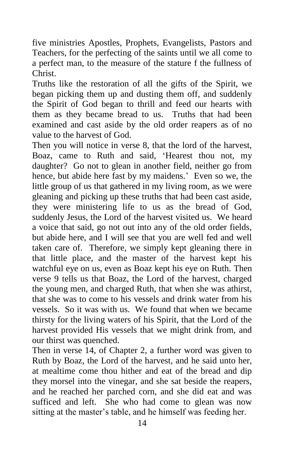five ministries Apostles, Prophets, Evangelists, Pastors and Teachers, for the perfecting of the saints until we all come to a perfect man, to the measure of the stature f the fullness of Christ.

Truths like the restoration of all the gifts of the Spirit, we began picking them up and dusting them off, and suddenly the Spirit of God began to thrill and feed our hearts with them as they became bread to us. Truths that had been examined and cast aside by the old order reapers as of no value to the harvest of God.

Then you will notice in verse 8, that the lord of the harvest, Boaz, came to Ruth and said, 'Hearest thou not, my daughter? Go not to glean in another field, neither go from hence, but abide here fast by my maidens.' Even so we, the little group of us that gathered in my living room, as we were gleaning and picking up these truths that had been cast aside, they were ministering life to us as the bread of God, suddenly Jesus, the Lord of the harvest visited us. We heard a voice that said, go not out into any of the old order fields, but abide here, and I will see that you are well fed and well taken care of. Therefore, we simply kept gleaning there in that little place, and the master of the harvest kept his watchful eye on us, even as Boaz kept his eye on Ruth. Then verse 9 tells us that Boaz, the Lord of the harvest, charged the young men, and charged Ruth, that when she was athirst, that she was to come to his vessels and drink water from his vessels. So it was with us. We found that when we became thirsty for the living waters of his Spirit, that the Lord of the harvest provided His vessels that we might drink from, and our thirst was quenched.

Then in verse 14, of Chapter 2, a further word was given to Ruth by Boaz, the Lord of the harvest, and he said unto her, at mealtime come thou hither and eat of the bread and dip they morsel into the vinegar, and she sat beside the reapers, and he reached her parched corn, and she did eat and was sufficed and left. She who had come to glean was now sitting at the master's table, and he himself was feeding her.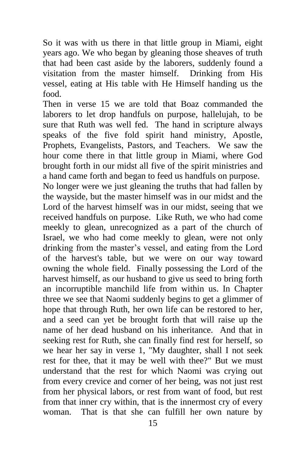So it was with us there in that little group in Miami, eight years ago. We who began by gleaning those sheaves of truth that had been cast aside by the laborers, suddenly found a visitation from the master himself. Drinking from His vessel, eating at His table with He Himself handing us the food.

Then in verse 15 we are told that Boaz commanded the laborers to let drop handfuls on purpose, hallelujah, to be sure that Ruth was well fed. The hand in scripture always speaks of the five fold spirit hand ministry, Apostle, Prophets, Evangelists, Pastors, and Teachers. We saw the hour come there in that little group in Miami, where God brought forth in our midst all five of the spirit ministries and a hand came forth and began to feed us handfuls on purpose.

No longer were we just gleaning the truths that had fallen by the wayside, but the master himself was in our midst and the Lord of the harvest himself was in our midst, seeing that we received handfuls on purpose. Like Ruth, we who had come meekly to glean, unrecognized as a part of the church of Israel, we who had come meekly to glean, were not only drinking from the master's vessel, and eating from the Lord of the harvest's table, but we were on our way toward owning the whole field. Finally possessing the Lord of the harvest himself, as our husband to give us seed to bring forth an incorruptible manchild life from within us. In Chapter three we see that Naomi suddenly begins to get a glimmer of hope that through Ruth, her own life can be restored to her, and a seed can yet be brought forth that will raise up the name of her dead husband on his inheritance. And that in seeking rest for Ruth, she can finally find rest for herself, so we hear her say in verse 1, "My daughter, shall I not seek rest for thee, that it may be well with thee?" But we must understand that the rest for which Naomi was crying out from every crevice and corner of her being, was not just rest from her physical labors, or rest from want of food, but rest from that inner cry within, that is the innermost cry of every woman. That is that she can fulfill her own nature by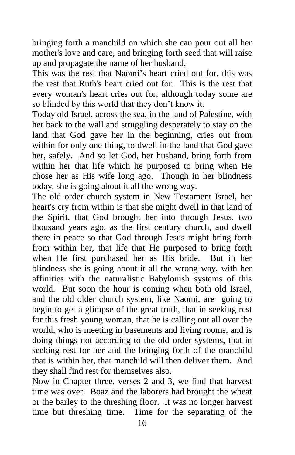bringing forth a manchild on which she can pour out all her mother's love and care, and bringing forth seed that will raise up and propagate the name of her husband.

This was the rest that Naomi's heart cried out for, this was the rest that Ruth's heart cried out for. This is the rest that every woman's heart cries out for, although today some are so blinded by this world that they don't know it.

Today old Israel, across the sea, in the land of Palestine, with her back to the wall and struggling desperately to stay on the land that God gave her in the beginning, cries out from within for only one thing, to dwell in the land that God gave her, safely. And so let God, her husband, bring forth from within her that life which he purposed to bring when He chose her as His wife long ago. Though in her blindness today, she is going about it all the wrong way.

The old order church system in New Testament Israel, her heart's cry from within is that she might dwell in that land of the Spirit, that God brought her into through Jesus, two thousand years ago, as the first century church, and dwell there in peace so that God through Jesus might bring forth from within her, that life that He purposed to bring forth when He first purchased her as His bride. But in her blindness she is going about it all the wrong way, with her affinities with the naturalistic Babylonish systems of this world. But soon the hour is coming when both old Israel, and the old older church system, like Naomi, are going to begin to get a glimpse of the great truth, that in seeking rest for this fresh young woman, that he is calling out all over the world, who is meeting in basements and living rooms, and is doing things not according to the old order systems, that in seeking rest for her and the bringing forth of the manchild that is within her, that manchild will then deliver them. And they shall find rest for themselves also.

Now in Chapter three, verses 2 and 3, we find that harvest time was over. Boaz and the laborers had brought the wheat or the barley to the threshing floor. It was no longer harvest time but threshing time. Time for the separating of the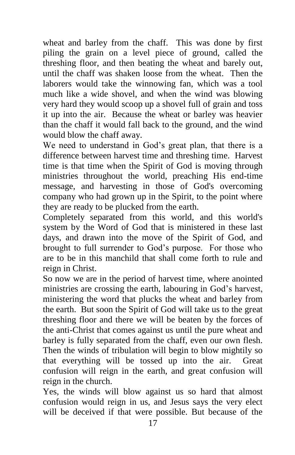wheat and barley from the chaff. This was done by first piling the grain on a level piece of ground, called the threshing floor, and then beating the wheat and barely out, until the chaff was shaken loose from the wheat. Then the laborers would take the winnowing fan, which was a tool much like a wide shovel, and when the wind was blowing very hard they would scoop up a shovel full of grain and toss it up into the air. Because the wheat or barley was heavier than the chaff it would fall back to the ground, and the wind would blow the chaff away.

We need to understand in God's great plan, that there is a difference between harvest time and threshing time. Harvest time is that time when the Spirit of God is moving through ministries throughout the world, preaching His end-time message, and harvesting in those of God's overcoming company who had grown up in the Spirit, to the point where they are ready to be plucked from the earth.

Completely separated from this world, and this world's system by the Word of God that is ministered in these last days, and drawn into the move of the Spirit of God, and brought to full surrender to God's purpose. For those who are to be in this manchild that shall come forth to rule and reign in Christ.

So now we are in the period of harvest time, where anointed ministries are crossing the earth, labouring in God's harvest, ministering the word that plucks the wheat and barley from the earth. But soon the Spirit of God will take us to the great threshing floor and there we will be beaten by the forces of the anti-Christ that comes against us until the pure wheat and barley is fully separated from the chaff, even our own flesh. Then the winds of tribulation will begin to blow mightily so that everything will be tossed up into the air. Great confusion will reign in the earth, and great confusion will reign in the church.

Yes, the winds will blow against us so hard that almost confusion would reign in us, and Jesus says the very elect will be deceived if that were possible. But because of the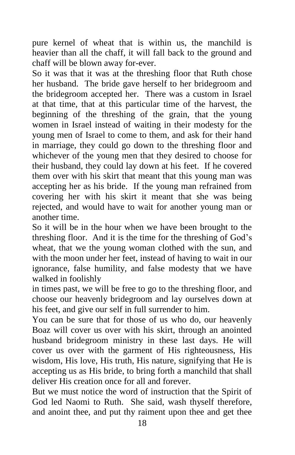pure kernel of wheat that is within us, the manchild is heavier than all the chaff, it will fall back to the ground and chaff will be blown away for-ever.

So it was that it was at the threshing floor that Ruth chose her husband. The bride gave herself to her bridegroom and the bridegroom accepted her. There was a custom in Israel at that time, that at this particular time of the harvest, the beginning of the threshing of the grain, that the young women in Israel instead of waiting in their modesty for the young men of Israel to come to them, and ask for their hand in marriage, they could go down to the threshing floor and whichever of the young men that they desired to choose for their husband, they could lay down at his feet. If he covered them over with his skirt that meant that this young man was accepting her as his bride. If the young man refrained from covering her with his skirt it meant that she was being rejected, and would have to wait for another young man or another time.

So it will be in the hour when we have been brought to the threshing floor. And it is the time for the threshing of God's wheat, that we the young woman clothed with the sun, and with the moon under her feet, instead of having to wait in our ignorance, false humility, and false modesty that we have walked in foolishly

in times past, we will be free to go to the threshing floor, and choose our heavenly bridegroom and lay ourselves down at his feet, and give our self in full surrender to him.

You can be sure that for those of us who do, our heavenly Boaz will cover us over with his skirt, through an anointed husband bridegroom ministry in these last days. He will cover us over with the garment of His righteousness, His wisdom, His love, His truth, His nature, signifying that He is accepting us as His bride, to bring forth a manchild that shall deliver His creation once for all and forever.

But we must notice the word of instruction that the Spirit of God led Naomi to Ruth. She said, wash thyself therefore, and anoint thee, and put thy raiment upon thee and get thee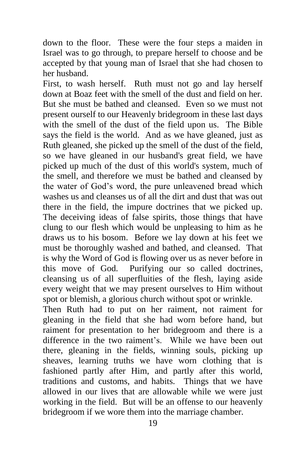down to the floor. These were the four steps a maiden in Israel was to go through, to prepare herself to choose and be accepted by that young man of Israel that she had chosen to her husband.

First, to wash herself. Ruth must not go and lay herself down at Boaz feet with the smell of the dust and field on her. But she must be bathed and cleansed. Even so we must not present ourself to our Heavenly bridegroom in these last days with the smell of the dust of the field upon us. The Bible says the field is the world. And as we have gleaned, just as Ruth gleaned, she picked up the smell of the dust of the field, so we have gleaned in our husband's great field, we have picked up much of the dust of this world's system, much of the smell, and therefore we must be bathed and cleansed by the water of God's word, the pure unleavened bread which washes us and cleanses us of all the dirt and dust that was out there in the field, the impure doctrines that we picked up. The deceiving ideas of false spirits, those things that have clung to our flesh which would be unpleasing to him as he draws us to his bosom. Before we lay down at his feet we must be thoroughly washed and bathed, and cleansed. That is why the Word of God is flowing over us as never before in this move of God. Purifying our so called doctrines, cleansing us of all superfluities of the flesh, laying aside every weight that we may present ourselves to Him without spot or blemish, a glorious church without spot or wrinkle.

Then Ruth had to put on her raiment, not raiment for gleaning in the field that she had worn before hand, but raiment for presentation to her bridegroom and there is a difference in the two raiment's. While we have been out there, gleaning in the fields, winning souls, picking up sheaves, learning truths we have worn clothing that is fashioned partly after Him, and partly after this world, traditions and customs, and habits. Things that we have allowed in our lives that are allowable while we were just working in the field. But will be an offense to our heavenly bridegroom if we wore them into the marriage chamber.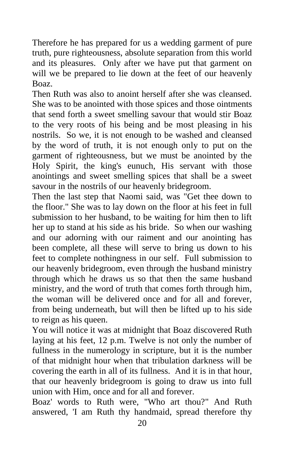Therefore he has prepared for us a wedding garment of pure truth, pure righteousness, absolute separation from this world and its pleasures. Only after we have put that garment on will we be prepared to lie down at the feet of our heavenly Boaz.

Then Ruth was also to anoint herself after she was cleansed. She was to be anointed with those spices and those ointments that send forth a sweet smelling savour that would stir Boaz to the very roots of his being and be most pleasing in his nostrils. So we, it is not enough to be washed and cleansed by the word of truth, it is not enough only to put on the garment of righteousness, but we must be anointed by the Holy Spirit, the king's eunuch, His servant with those anointings and sweet smelling spices that shall be a sweet savour in the nostrils of our heavenly bridegroom.

Then the last step that Naomi said, was "Get thee down to the floor." She was to lay down on the floor at his feet in full submission to her husband, to be waiting for him then to lift her up to stand at his side as his bride. So when our washing and our adorning with our raiment and our anointing has been complete, all these will serve to bring us down to his feet to complete nothingness in our self. Full submission to our heavenly bridegroom, even through the husband ministry through which he draws us so that then the same husband ministry, and the word of truth that comes forth through him, the woman will be delivered once and for all and forever, from being underneath, but will then be lifted up to his side to reign as his queen.

You will notice it was at midnight that Boaz discovered Ruth laying at his feet, 12 p.m. Twelve is not only the number of fullness in the numerology in scripture, but it is the number of that midnight hour when that tribulation darkness will be covering the earth in all of its fullness. And it is in that hour, that our heavenly bridegroom is going to draw us into full union with Him, once and for all and forever.

Boaz' words to Ruth were, "Who art thou?" And Ruth answered, 'I am Ruth thy handmaid, spread therefore thy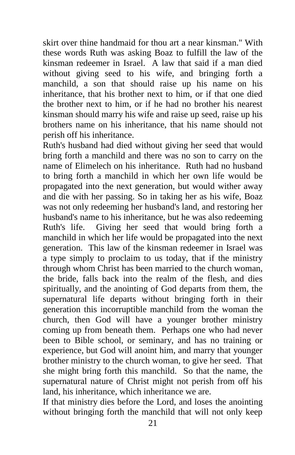skirt over thine handmaid for thou art a near kinsman." With these words Ruth was asking Boaz to fulfill the law of the kinsman redeemer in Israel. A law that said if a man died without giving seed to his wife, and bringing forth a manchild, a son that should raise up his name on his inheritance, that his brother next to him, or if that one died the brother next to him, or if he had no brother his nearest kinsman should marry his wife and raise up seed, raise up his brothers name on his inheritance, that his name should not perish off his inheritance.

Ruth's husband had died without giving her seed that would bring forth a manchild and there was no son to carry on the name of Elimelech on his inheritance. Ruth had no husband to bring forth a manchild in which her own life would be propagated into the next generation, but would wither away and die with her passing. So in taking her as his wife, Boaz was not only redeeming her husband's land, and restoring her husband's name to his inheritance, but he was also redeeming Ruth's life. Giving her seed that would bring forth a manchild in which her life would be propagated into the next generation. This law of the kinsman redeemer in Israel was a type simply to proclaim to us today, that if the ministry through whom Christ has been married to the church woman, the bride, falls back into the realm of the flesh, and dies spiritually, and the anointing of God departs from them, the supernatural life departs without bringing forth in their generation this incorruptible manchild from the woman the church, then God will have a younger brother ministry coming up from beneath them. Perhaps one who had never been to Bible school, or seminary, and has no training or experience, but God will anoint him, and marry that younger brother ministry to the church woman, to give her seed. That she might bring forth this manchild. So that the name, the supernatural nature of Christ might not perish from off his land, his inheritance, which inheritance we are.

If that ministry dies before the Lord, and loses the anointing without bringing forth the manchild that will not only keep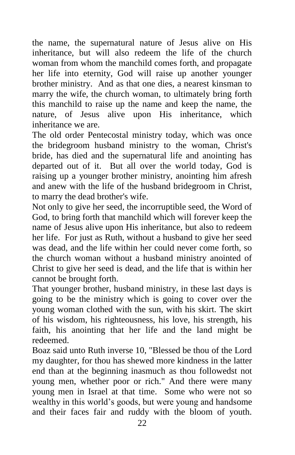the name, the supernatural nature of Jesus alive on His inheritance, but will also redeem the life of the church woman from whom the manchild comes forth, and propagate her life into eternity, God will raise up another younger brother ministry. And as that one dies, a nearest kinsman to marry the wife, the church woman, to ultimately bring forth this manchild to raise up the name and keep the name, the nature, of Jesus alive upon His inheritance, which inheritance we are.

The old order Pentecostal ministry today, which was once the bridegroom husband ministry to the woman, Christ's bride, has died and the supernatural life and anointing has departed out of it. But all over the world today, God is raising up a younger brother ministry, anointing him afresh and anew with the life of the husband bridegroom in Christ, to marry the dead brother's wife.

Not only to give her seed, the incorruptible seed, the Word of God, to bring forth that manchild which will forever keep the name of Jesus alive upon His inheritance, but also to redeem her life. For just as Ruth, without a husband to give her seed was dead, and the life within her could never come forth, so the church woman without a husband ministry anointed of Christ to give her seed is dead, and the life that is within her cannot be brought forth.

That younger brother, husband ministry, in these last days is going to be the ministry which is going to cover over the young woman clothed with the sun, with his skirt. The skirt of his wisdom, his righteousness, his love, his strength, his faith, his anointing that her life and the land might be redeemed.

Boaz said unto Ruth inverse 10, "Blessed be thou of the Lord my daughter, for thou has shewed more kindness in the latter end than at the beginning inasmuch as thou followedst not young men, whether poor or rich." And there were many young men in Israel at that time. Some who were not so wealthy in this world's goods, but were young and handsome and their faces fair and ruddy with the bloom of youth.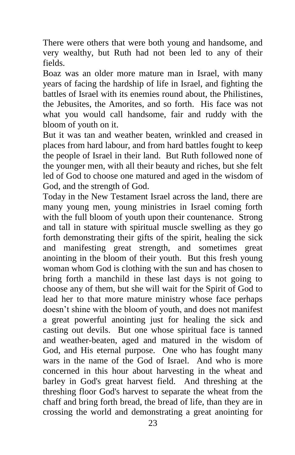There were others that were both young and handsome, and very wealthy, but Ruth had not been led to any of their fields.

Boaz was an older more mature man in Israel, with many years of facing the hardship of life in Israel, and fighting the battles of Israel with its enemies round about, the Philistines, the Jebusites, the Amorites, and so forth. His face was not what you would call handsome, fair and ruddy with the bloom of youth on it.

But it was tan and weather beaten, wrinkled and creased in places from hard labour, and from hard battles fought to keep the people of Israel in their land. But Ruth followed none of the younger men, with all their beauty and riches, but she felt led of God to choose one matured and aged in the wisdom of God, and the strength of God.

Today in the New Testament Israel across the land, there are many young men, young ministries in Israel coming forth with the full bloom of youth upon their countenance. Strong and tall in stature with spiritual muscle swelling as they go forth demonstrating their gifts of the spirit, healing the sick and manifesting great strength, and sometimes great anointing in the bloom of their youth. But this fresh young woman whom God is clothing with the sun and has chosen to bring forth a manchild in these last days is not going to choose any of them, but she will wait for the Spirit of God to lead her to that more mature ministry whose face perhaps doesn't shine with the bloom of youth, and does not manifest a great powerful anointing just for healing the sick and casting out devils. But one whose spiritual face is tanned and weather-beaten, aged and matured in the wisdom of God, and His eternal purpose. One who has fought many wars in the name of the God of Israel. And who is more concerned in this hour about harvesting in the wheat and barley in God's great harvest field. And threshing at the threshing floor God's harvest to separate the wheat from the chaff and bring forth bread, the bread of life, than they are in crossing the world and demonstrating a great anointing for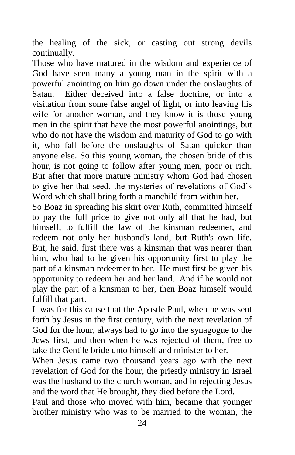the healing of the sick, or casting out strong devils continually.

Those who have matured in the wisdom and experience of God have seen many a young man in the spirit with a powerful anointing on him go down under the onslaughts of Satan. Either deceived into a false doctrine, or into a visitation from some false angel of light, or into leaving his wife for another woman, and they know it is those young men in the spirit that have the most powerful anointings, but who do not have the wisdom and maturity of God to go with it, who fall before the onslaughts of Satan quicker than anyone else. So this young woman, the chosen bride of this hour, is not going to follow after young men, poor or rich. But after that more mature ministry whom God had chosen to give her that seed, the mysteries of revelations of God's Word which shall bring forth a manchild from within her.

So Boaz in spreading his skirt over Ruth, committed himself to pay the full price to give not only all that he had, but himself, to fulfill the law of the kinsman redeemer, and redeem not only her husband's land, but Ruth's own life. But, he said, first there was a kinsman that was nearer than him, who had to be given his opportunity first to play the part of a kinsman redeemer to her. He must first be given his opportunity to redeem her and her land. And if he would not play the part of a kinsman to her, then Boaz himself would fulfill that part.

It was for this cause that the Apostle Paul, when he was sent forth by Jesus in the first century, with the next revelation of God for the hour, always had to go into the synagogue to the Jews first, and then when he was rejected of them, free to take the Gentile bride unto himself and minister to her.

When Jesus came two thousand years ago with the next revelation of God for the hour, the priestly ministry in Israel was the husband to the church woman, and in rejecting Jesus and the word that He brought, they died before the Lord.

Paul and those who moved with him, became that younger brother ministry who was to be married to the woman, the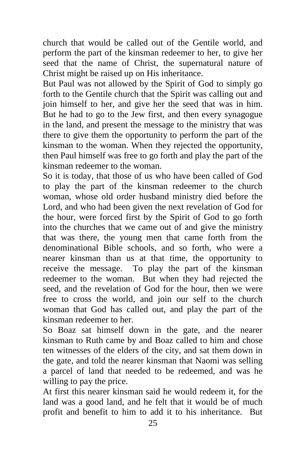church that would be called out of the Gentile world, and perform the part of the kinsman redeemer to her, to give her seed that the name of Christ, the supernatural nature of Christ might be raised up on His inheritance.

But Paul was not allowed by the Spirit of God to simply go forth to the Gentile church that the Spirit was calling out and join himself to her, and give her the seed that was in him. But he had to go to the Jew first, and then every synagogue in the land, and present the message to the ministry that was there to give them the opportunity to perform the part of the kinsman to the woman. When they rejected the opportunity, then Paul himself was free to go forth and play the part of the kinsman redeemer to the woman.

So it is today, that those of us who have been called of God to play the part of the kinsman redeemer to the church woman, whose old order husband ministry died before the Lord, and who had been given the next revelation of God for the hour, were forced first by the Spirit of God to go forth into the churches that we came out of and give the ministry that was there, the young men that came forth from the denominational Bible schools, and so forth, who were a nearer kinsman than us at that time, the opportunity to receive the message. To play the part of the kinsman redeemer to the woman. But when they had rejected the seed, and the revelation of God for the hour, then we were free to cross the world, and join our self to the church woman that God has called out, and play the part of the kinsman redeemer to her.

So Boaz sat himself down in the gate, and the nearer kinsman to Ruth came by and Boaz called to him and chose ten witnesses of the elders of the city, and sat them down in the gate, and told the nearer kinsman that Naomi was selling a parcel of land that needed to be redeemed, and was he willing to pay the price.

At first this nearer kinsman said he would redeem it, for the land was a good land, and he felt that it would be of much profit and benefit to him to add it to his inheritance. But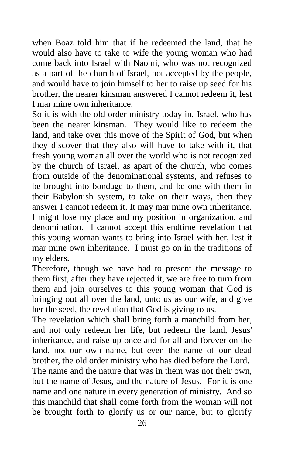when Boaz told him that if he redeemed the land, that he would also have to take to wife the young woman who had come back into Israel with Naomi, who was not recognized as a part of the church of Israel, not accepted by the people, and would have to join himself to her to raise up seed for his brother, the nearer kinsman answered I cannot redeem it, lest I mar mine own inheritance.

So it is with the old order ministry today in, Israel, who has been the nearer kinsman. They would like to redeem the land, and take over this move of the Spirit of God, but when they discover that they also will have to take with it, that fresh young woman all over the world who is not recognized by the church of Israel, as apart of the church, who comes from outside of the denominational systems, and refuses to be brought into bondage to them, and be one with them in their Babylonish system, to take on their ways, then they answer I cannot redeem it. It may mar mine own inheritance. I might lose my place and my position in organization, and denomination. I cannot accept this endtime revelation that this young woman wants to bring into Israel with her, lest it mar mine own inheritance. I must go on in the traditions of my elders.

Therefore, though we have had to present the message to them first, after they have rejected it, we are free to turn from them and join ourselves to this young woman that God is bringing out all over the land, unto us as our wife, and give her the seed, the revelation that God is giving to us.

The revelation which shall bring forth a manchild from her, and not only redeem her life, but redeem the land, Jesus' inheritance, and raise up once and for all and forever on the land, not our own name, but even the name of our dead brother, the old order ministry who has died before the Lord.

The name and the nature that was in them was not their own, but the name of Jesus, and the nature of Jesus. For it is one name and one nature in every generation of ministry. And so this manchild that shall come forth from the woman will not be brought forth to glorify us or our name, but to glorify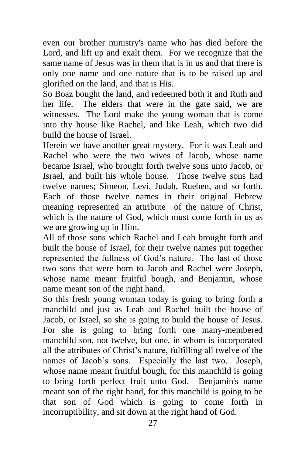even our brother ministry's name who has died before the Lord, and lift up and exalt them. For we recognize that the same name of Jesus was in them that is in us and that there is only one name and one nature that is to be raised up and glorified on the land, and that is His.

So Boaz bought the land, and redeemed both it and Ruth and her life. The elders that were in the gate said, we are witnesses. The Lord make the young woman that is come into thy house like Rachel, and like Leah, which two did build the house of Israel.

Herein we have another great mystery. For it was Leah and Rachel who were the two wives of Jacob, whose name became Israel, who brought forth twelve sons unto Jacob, or Israel, and built his whole house. Those twelve sons had twelve names; Simeon, Levi, Judah, Rueben, and so forth. Each of those twelve names in their original Hebrew meaning represented an attribute of the nature of Christ, which is the nature of God, which must come forth in us as we are growing up in Him.

All of those sons which Rachel and Leah brought forth and built the house of Israel, for their twelve names put together represented the fullness of God's nature. The last of those two sons that were born to Jacob and Rachel were Joseph, whose name meant fruitful bough, and Benjamin, whose name meant son of the right hand.

So this fresh young woman today is going to bring forth a manchild and just as Leah and Rachel built the house of Jacob, or Israel, so she is going to build the house of Jesus. For she is going to bring forth one many-membered manchild son, not twelve, but one, in whom is incorporated all the attributes of Christ's nature, fulfilling all twelve of the names of Jacob's sons. Especially the last two. Joseph, whose name meant fruitful bough, for this manchild is going to bring forth perfect fruit unto God. Benjamin's name meant son of the right hand, for this manchild is going to be that son of God which is going to come forth in incorruptibility, and sit down at the right hand of God.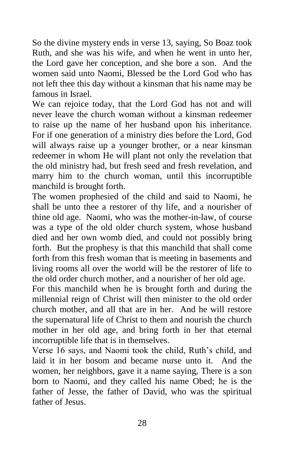So the divine mystery ends in verse 13, saying, So Boaz took Ruth, and she was his wife, and when he went in unto her, the Lord gave her conception, and she bore a son. And the women said unto Naomi, Blessed be the Lord God who has not left thee this day without a kinsman that his name may be famous in Israel.

We can rejoice today, that the Lord God has not and will never leave the church woman without a kinsman redeemer to raise up the name of her husband upon his inheritance. For if one generation of a ministry dies before the Lord, God will always raise up a younger brother, or a near kinsman redeemer in whom He will plant not only the revelation that the old ministry had, but fresh seed and fresh revelation, and marry him to the church woman, until this incorruptible manchild is brought forth.

The women prophesied of the child and said to Naomi, he shall be unto thee a restorer of thy life, and a nourisher of thine old age. Naomi, who was the mother-in-law, of course was a type of the old older church system, whose husband died and her own womb died, and could not possibly bring forth. But the prophesy is that this manchild that shall come forth from this fresh woman that is meeting in basements and living rooms all over the world will be the restorer of life to the old order church mother, and a nourisher of her old age.

For this manchild when he is brought forth and during the millennial reign of Christ will then minister to the old order church mother, and all that are in her. And he will restore the supernatural life of Christ to them and nourish the church mother in her old age, and bring forth in her that eternal incorruptible life that is in themselves.

Verse 16 says, and Naomi took the child, Ruth's child, and laid it in her bosom and became nurse unto it. And the women, her neighbors, gave it a name saying, There is a son born to Naomi, and they called his name Obed; he is the father of Jesse, the father of David, who was the spiritual father of Jesus.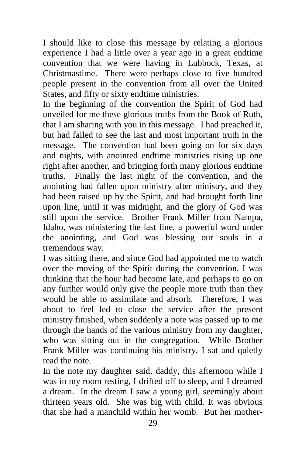I should like to close this message by relating a glorious experience I had a little over a year ago in a great endtime convention that we were having in Lubbock, Texas, at Christmastime. There were perhaps close to five hundred people present in the convention from all over the United States, and fifty or sixty endtime ministries.

In the beginning of the convention the Spirit of God had unveiled for me these glorious truths from the Book of Ruth, that I am sharing with you in this message. I had preached it, but had failed to see the last and most important truth in the message. The convention had been going on for six days and nights, with anointed endtime ministries rising up one right after another, and bringing forth many glorious endtime truths. Finally the last night of the convention, and the anointing had fallen upon ministry after ministry, and they had been raised up by the Spirit, and had brought forth line upon line, until it was midnight, and the glory of God was still upon the service. Brother Frank Miller from Nampa, Idaho, was ministering the last line, a powerful word under the anointing, and God was blessing our souls in a tremendous way.

I was sitting there, and since God had appointed me to watch over the moving of the Spirit during the convention, I was thinking that the hour had become late, and perhaps to go on any further would only give the people more truth than they would be able to assimilate and absorb. Therefore, I was about to feel led to close the service after the present ministry finished, when suddenly a note was passed up to me through the hands of the various ministry from my daughter, who was sitting out in the congregation. While Brother Frank Miller was continuing his ministry, I sat and quietly read the note.

In the note my daughter said, daddy, this afternoon while I was in my room resting, I drifted off to sleep, and I dreamed a dream. In the dream I saw a young girl, seemingly about thirteen years old. She was big with child. It was obvious that she had a manchild within her womb. But her mother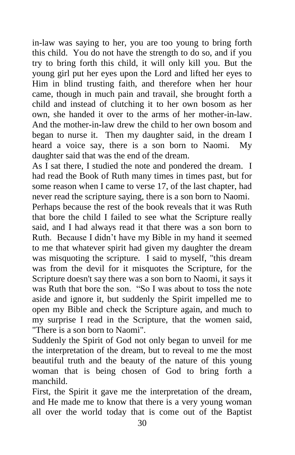in-law was saying to her, you are too young to bring forth this child. You do not have the strength to do so, and if you try to bring forth this child, it will only kill you. But the young girl put her eyes upon the Lord and lifted her eyes to Him in blind trusting faith, and therefore when her hour came, though in much pain and travail, she brought forth a child and instead of clutching it to her own bosom as her own, she handed it over to the arms of her mother-in-law. And the mother-in-law drew the child to her own bosom and began to nurse it. Then my daughter said, in the dream I heard a voice say, there is a son born to Naomi. My daughter said that was the end of the dream.

As I sat there, I studied the note and pondered the dream. I had read the Book of Ruth many times in times past, but for some reason when I came to verse 17, of the last chapter, had never read the scripture saying, there is a son born to Naomi.

Perhaps because the rest of the book reveals that it was Ruth that bore the child I failed to see what the Scripture really said, and I had always read it that there was a son born to Ruth. Because I didn't have my Bible in my hand it seemed to me that whatever spirit had given my daughter the dream was misquoting the scripture. I said to myself, "this dream was from the devil for it misquotes the Scripture, for the Scripture doesn't say there was a son born to Naomi, it says it was Ruth that bore the son. "So I was about to toss the note aside and ignore it, but suddenly the Spirit impelled me to open my Bible and check the Scripture again, and much to my surprise I read in the Scripture, that the women said, "There is a son born to Naomi".

Suddenly the Spirit of God not only began to unveil for me the interpretation of the dream, but to reveal to me the most beautiful truth and the beauty of the nature of this young woman that is being chosen of God to bring forth a manchild.

First, the Spirit it gave me the interpretation of the dream, and He made me to know that there is a very young woman all over the world today that is come out of the Baptist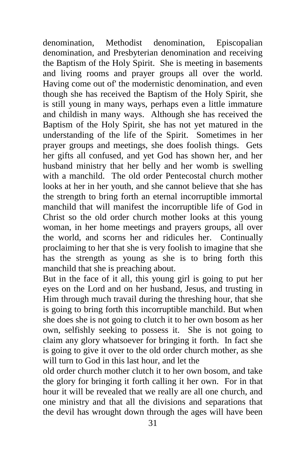denomination, Methodist denomination, Episcopalian denomination, and Presbyterian denomination and receiving the Baptism of the Holy Spirit. She is meeting in basements and living rooms and prayer groups all over the world. Having come out of' the modernistic denomination, and even though she has received the Baptism of the Holy Spirit, she is still young in many ways, perhaps even a little immature and childish in many ways. Although she has received the Baptism of the Holy Spirit, she has not yet matured in the understanding of the life of the Spirit. Sometimes in her prayer groups and meetings, she does foolish things. Gets her gifts all confused, and yet God has shown her, and her husband ministry that her belly and her womb is swelling with a manchild. The old order Pentecostal church mother looks at her in her youth, and she cannot believe that she has the strength to bring forth an eternal incorruptible immortal manchild that will manifest the incorruptible life of God in Christ so the old order church mother looks at this young woman, in her home meetings and prayers groups, all over the world, and scorns her and ridicules her. Continually proclaiming to her that she is very foolish to imagine that she has the strength as young as she is to bring forth this manchild that she is preaching about.

But in the face of it all, this young girl is going to put her eyes on the Lord and on her husband, Jesus, and trusting in Him through much travail during the threshing hour, that she is going to bring forth this incorruptible manchild. But when she does she is not going to clutch it to her own bosom as her own, selfishly seeking to possess it. She is not going to claim any glory whatsoever for bringing it forth. In fact she is going to give it over to the old order church mother, as she will turn to God in this last hour, and let the

old order church mother clutch it to her own bosom, and take the glory for bringing it forth calling it her own. For in that hour it will be revealed that we really are all one church, and one ministry and that all the divisions and separations that the devil has wrought down through the ages will have been